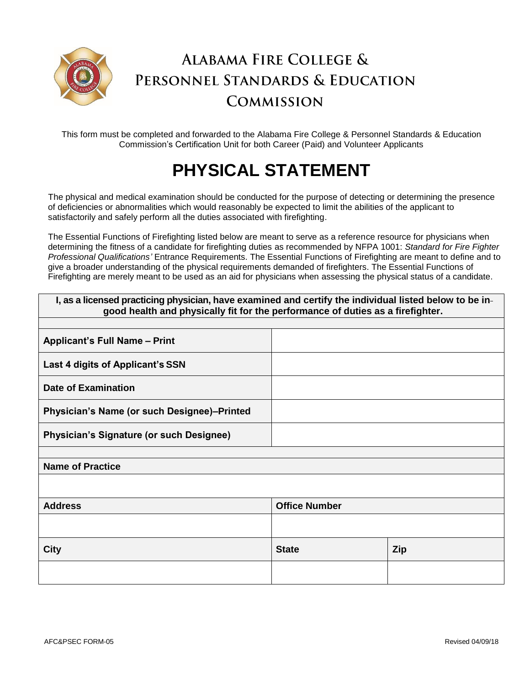

## **ALABAMA FIRE COLLEGE &** PERSONNEL STANDARDS & EDUCATION **COMMISSION**

This form must be completed and forwarded to the Alabama Fire College & Personnel Standards & Education Commission's Certification Unit for both Career (Paid) and Volunteer Applicants

## **PHYSICAL STATEMENT**

The physical and medical examination should be conducted for the purpose of detecting or determining the presence of deficiencies or abnormalities which would reasonably be expected to limit the abilities of the applicant to satisfactorily and safely perform all the duties associated with firefighting.

The Essential Functions of Firefighting listed below are meant to serve as a reference resource for physicians when determining the fitness of a candidate for firefighting duties as recommended by NFPA 1001: *Standard for Fire Fighter Professional Qualifications'* Entrance Requirements. The Essential Functions of Firefighting are meant to define and to give a broader understanding of the physical requirements demanded of firefighters. The Essential Functions of Firefighting are merely meant to be used as an aid for physicians when assessing the physical status of a candidate.

| I, as a licensed practicing physician, have examined and certify the individual listed below to be in-<br>good health and physically fit for the performance of duties as a firefighter. |            |
|------------------------------------------------------------------------------------------------------------------------------------------------------------------------------------------|------------|
|                                                                                                                                                                                          |            |
|                                                                                                                                                                                          |            |
|                                                                                                                                                                                          |            |
|                                                                                                                                                                                          |            |
|                                                                                                                                                                                          |            |
|                                                                                                                                                                                          |            |
|                                                                                                                                                                                          |            |
| <b>Name of Practice</b>                                                                                                                                                                  |            |
|                                                                                                                                                                                          |            |
| <b>Office Number</b>                                                                                                                                                                     |            |
|                                                                                                                                                                                          |            |
| <b>State</b>                                                                                                                                                                             | <b>Zip</b> |
|                                                                                                                                                                                          |            |
|                                                                                                                                                                                          |            |